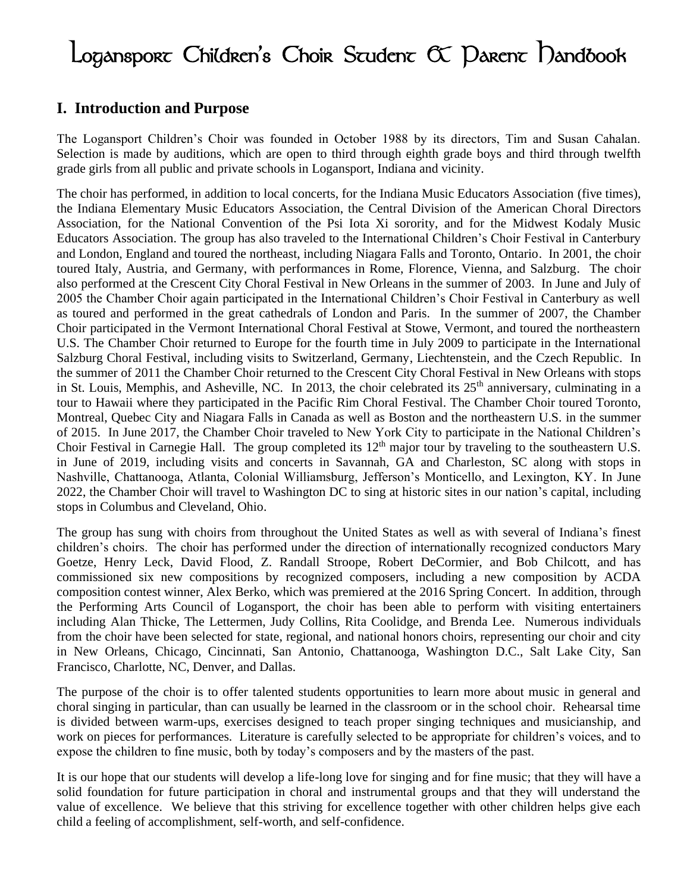# $Logansp$ orc Children's Choir Scudenc  $\alpha$  Darenc Dandbook

#### **I. Introduction and Purpose**

The Logansport Children's Choir was founded in October 1988 by its directors, Tim and Susan Cahalan. Selection is made by auditions, which are open to third through eighth grade boys and third through twelfth grade girls from all public and private schools in Logansport, Indiana and vicinity.

The choir has performed, in addition to local concerts, for the Indiana Music Educators Association (five times), the Indiana Elementary Music Educators Association, the Central Division of the American Choral Directors Association, for the National Convention of the Psi Iota Xi sorority, and for the Midwest Kodaly Music Educators Association. The group has also traveled to the International Children's Choir Festival in Canterbury and London, England and toured the northeast, including Niagara Falls and Toronto, Ontario. In 2001, the choir toured Italy, Austria, and Germany, with performances in Rome, Florence, Vienna, and Salzburg. The choir also performed at the Crescent City Choral Festival in New Orleans in the summer of 2003. In June and July of 2005 the Chamber Choir again participated in the International Children's Choir Festival in Canterbury as well as toured and performed in the great cathedrals of London and Paris. In the summer of 2007, the Chamber Choir participated in the Vermont International Choral Festival at Stowe, Vermont, and toured the northeastern U.S. The Chamber Choir returned to Europe for the fourth time in July 2009 to participate in the International Salzburg Choral Festival, including visits to Switzerland, Germany, Liechtenstein, and the Czech Republic. In the summer of 2011 the Chamber Choir returned to the Crescent City Choral Festival in New Orleans with stops in St. Louis, Memphis, and Asheville, NC. In 2013, the choir celebrated its 25<sup>th</sup> anniversary, culminating in a tour to Hawaii where they participated in the Pacific Rim Choral Festival. The Chamber Choir toured Toronto, Montreal, Quebec City and Niagara Falls in Canada as well as Boston and the northeastern U.S. in the summer of 2015. In June 2017, the Chamber Choir traveled to New York City to participate in the National Children's Choir Festival in Carnegie Hall. The group completed its  $12<sup>th</sup>$  major tour by traveling to the southeastern U.S. in June of 2019, including visits and concerts in Savannah, GA and Charleston, SC along with stops in Nashville, Chattanooga, Atlanta, Colonial Williamsburg, Jefferson's Monticello, and Lexington, KY. In June 2022, the Chamber Choir will travel to Washington DC to sing at historic sites in our nation's capital, including stops in Columbus and Cleveland, Ohio.

The group has sung with choirs from throughout the United States as well as with several of Indiana's finest children's choirs. The choir has performed under the direction of internationally recognized conductors Mary Goetze, Henry Leck, David Flood, Z. Randall Stroope, Robert DeCormier, and Bob Chilcott, and has commissioned six new compositions by recognized composers, including a new composition by ACDA composition contest winner, Alex Berko, which was premiered at the 2016 Spring Concert. In addition, through the Performing Arts Council of Logansport, the choir has been able to perform with visiting entertainers including Alan Thicke, The Lettermen, Judy Collins, Rita Coolidge, and Brenda Lee. Numerous individuals from the choir have been selected for state, regional, and national honors choirs, representing our choir and city in New Orleans, Chicago, Cincinnati, San Antonio, Chattanooga, Washington D.C., Salt Lake City, San Francisco, Charlotte, NC, Denver, and Dallas.

The purpose of the choir is to offer talented students opportunities to learn more about music in general and choral singing in particular, than can usually be learned in the classroom or in the school choir. Rehearsal time is divided between warm-ups, exercises designed to teach proper singing techniques and musicianship, and work on pieces for performances. Literature is carefully selected to be appropriate for children's voices, and to expose the children to fine music, both by today's composers and by the masters of the past.

It is our hope that our students will develop a life-long love for singing and for fine music; that they will have a solid foundation for future participation in choral and instrumental groups and that they will understand the value of excellence. We believe that this striving for excellence together with other children helps give each child a feeling of accomplishment, self-worth, and self-confidence.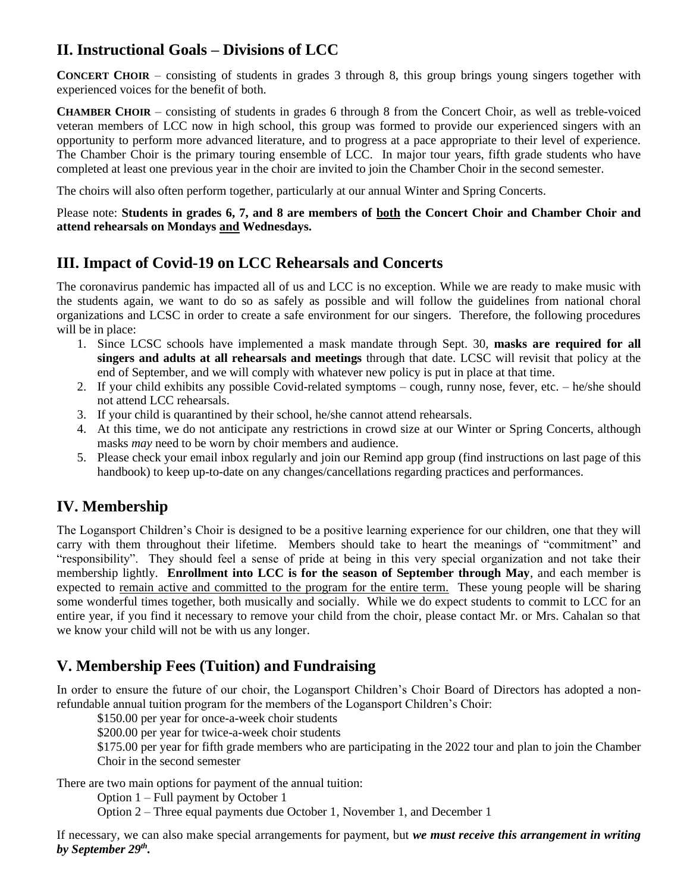### **II. Instructional Goals – Divisions of LCC**

**CONCERT CHOIR** – consisting of students in grades 3 through 8, this group brings young singers together with experienced voices for the benefit of both.

**CHAMBER CHOIR** – consisting of students in grades 6 through 8 from the Concert Choir, as well as treble-voiced veteran members of LCC now in high school, this group was formed to provide our experienced singers with an opportunity to perform more advanced literature, and to progress at a pace appropriate to their level of experience. The Chamber Choir is the primary touring ensemble of LCC. In major tour years, fifth grade students who have completed at least one previous year in the choir are invited to join the Chamber Choir in the second semester.

The choirs will also often perform together, particularly at our annual Winter and Spring Concerts.

Please note: **Students in grades 6, 7, and 8 are members of both the Concert Choir and Chamber Choir and attend rehearsals on Mondays and Wednesdays.**

#### **III. Impact of Covid-19 on LCC Rehearsals and Concerts**

The coronavirus pandemic has impacted all of us and LCC is no exception. While we are ready to make music with the students again, we want to do so as safely as possible and will follow the guidelines from national choral organizations and LCSC in order to create a safe environment for our singers. Therefore, the following procedures will be in place:

- 1. Since LCSC schools have implemented a mask mandate through Sept. 30, **masks are required for all singers and adults at all rehearsals and meetings** through that date. LCSC will revisit that policy at the end of September, and we will comply with whatever new policy is put in place at that time.
- 2. If your child exhibits any possible Covid-related symptoms cough, runny nose, fever, etc. he/she should not attend LCC rehearsals.
- 3. If your child is quarantined by their school, he/she cannot attend rehearsals.
- 4. At this time, we do not anticipate any restrictions in crowd size at our Winter or Spring Concerts, although masks *may* need to be worn by choir members and audience.
- 5. Please check your email inbox regularly and join our Remind app group (find instructions on last page of this handbook) to keep up-to-date on any changes/cancellations regarding practices and performances.

#### **IV. Membership**

The Logansport Children's Choir is designed to be a positive learning experience for our children, one that they will carry with them throughout their lifetime. Members should take to heart the meanings of "commitment" and "responsibility". They should feel a sense of pride at being in this very special organization and not take their membership lightly. **Enrollment into LCC is for the season of September through May**, and each member is expected to remain active and committed to the program for the entire term. These young people will be sharing some wonderful times together, both musically and socially. While we do expect students to commit to LCC for an entire year, if you find it necessary to remove your child from the choir, please contact Mr. or Mrs. Cahalan so that we know your child will not be with us any longer.

#### **V. Membership Fees (Tuition) and Fundraising**

In order to ensure the future of our choir, the Logansport Children's Choir Board of Directors has adopted a nonrefundable annual tuition program for the members of the Logansport Children's Choir:

\$150.00 per year for once-a-week choir students

\$200.00 per year for twice-a-week choir students

\$175.00 per year for fifth grade members who are participating in the 2022 tour and plan to join the Chamber Choir in the second semester

There are two main options for payment of the annual tuition:

Option 1 – Full payment by October 1

Option 2 – Three equal payments due October 1, November 1, and December 1

If necessary, we can also make special arrangements for payment, but *we must receive this arrangement in writing by September 29 th .*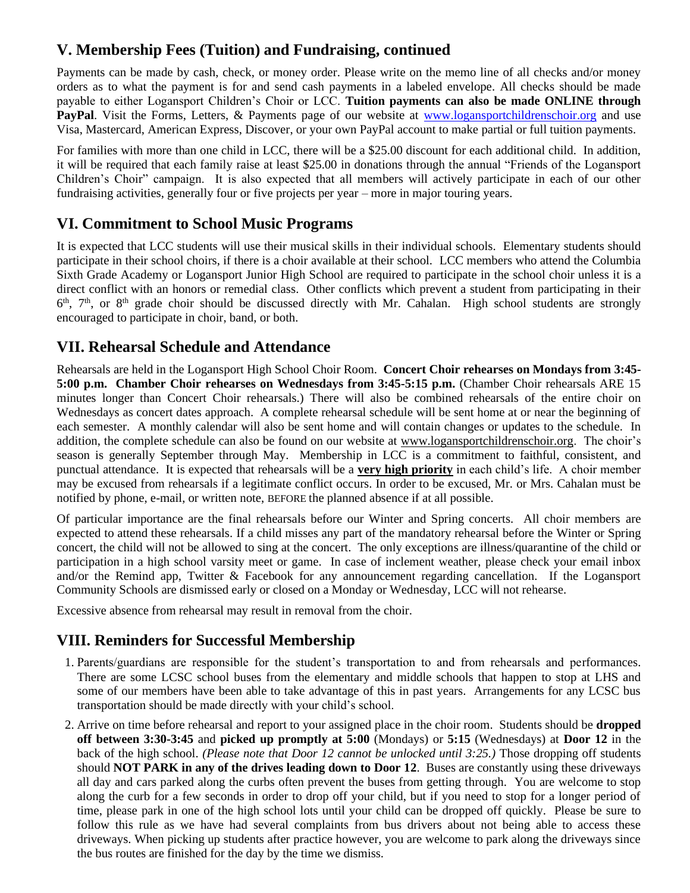### **V. Membership Fees (Tuition) and Fundraising, continued**

Payments can be made by cash, check, or money order. Please write on the memo line of all checks and/or money orders as to what the payment is for and send cash payments in a labeled envelope. All checks should be made payable to either Logansport Children's Choir or LCC. **Tuition payments can also be made ONLINE through PayPal**. Visit the Forms, Letters, & Payments page of our website at [www.logansportchildrenschoir.org](http://www.logansportchildrenschoir.org/) and use Visa, Mastercard, American Express, Discover, or your own PayPal account to make partial or full tuition payments.

For families with more than one child in LCC, there will be a \$25.00 discount for each additional child. In addition, it will be required that each family raise at least \$25.00 in donations through the annual "Friends of the Logansport Children's Choir" campaign. It is also expected that all members will actively participate in each of our other fundraising activities, generally four or five projects per year – more in major touring years.

#### **VI. Commitment to School Music Programs**

It is expected that LCC students will use their musical skills in their individual schools. Elementary students should participate in their school choirs, if there is a choir available at their school. LCC members who attend the Columbia Sixth Grade Academy or Logansport Junior High School are required to participate in the school choir unless it is a direct conflict with an honors or remedial class. Other conflicts which prevent a student from participating in their 6<sup>th</sup>, 7<sup>th</sup>, or 8<sup>th</sup> grade choir should be discussed directly with Mr. Cahalan. High school students are strongly encouraged to participate in choir, band, or both.

#### **VII. Rehearsal Schedule and Attendance**

Rehearsals are held in the Logansport High School Choir Room. **Concert Choir rehearses on Mondays from 3:45- 5:00 p.m. Chamber Choir rehearses on Wednesdays from 3:45-5:15 p.m.** (Chamber Choir rehearsals ARE 15 minutes longer than Concert Choir rehearsals.) There will also be combined rehearsals of the entire choir on Wednesdays as concert dates approach. A complete rehearsal schedule will be sent home at or near the beginning of each semester. A monthly calendar will also be sent home and will contain changes or updates to the schedule. In addition, the complete schedule can also be found on our website at [www.logansportchildrenschoir.org.](http://www.logansportchildrenschoir.org/) The choir's season is generally September through May. Membership in LCC is a commitment to faithful, consistent, and punctual attendance. It is expected that rehearsals will be a **very high priority** in each child's life. A choir member may be excused from rehearsals if a legitimate conflict occurs. In order to be excused, Mr. or Mrs. Cahalan must be notified by phone, e-mail, or written note, BEFORE the planned absence if at all possible.

Of particular importance are the final rehearsals before our Winter and Spring concerts. All choir members are expected to attend these rehearsals. If a child misses any part of the mandatory rehearsal before the Winter or Spring concert, the child will not be allowed to sing at the concert. The only exceptions are illness/quarantine of the child or participation in a high school varsity meet or game. In case of inclement weather, please check your email inbox and/or the Remind app, Twitter & Facebook for any announcement regarding cancellation. If the Logansport Community Schools are dismissed early or closed on a Monday or Wednesday, LCC will not rehearse.

Excessive absence from rehearsal may result in removal from the choir.

#### **VIII. Reminders for Successful Membership**

- 1. Parents/guardians are responsible for the student's transportation to and from rehearsals and performances. There are some LCSC school buses from the elementary and middle schools that happen to stop at LHS and some of our members have been able to take advantage of this in past years. Arrangements for any LCSC bus transportation should be made directly with your child's school.
- 2. Arrive on time before rehearsal and report to your assigned place in the choir room. Students should be **dropped off between 3:30-3:45** and **picked up promptly at 5:00** (Mondays) or **5:15** (Wednesdays) at **Door 12** in the back of the high school. *(Please note that Door 12 cannot be unlocked until 3:25.)* Those dropping off students should **NOT PARK in any of the drives leading down to Door 12**. Buses are constantly using these driveways all day and cars parked along the curbs often prevent the buses from getting through. You are welcome to stop along the curb for a few seconds in order to drop off your child, but if you need to stop for a longer period of time, please park in one of the high school lots until your child can be dropped off quickly. Please be sure to follow this rule as we have had several complaints from bus drivers about not being able to access these driveways. When picking up students after practice however, you are welcome to park along the driveways since the bus routes are finished for the day by the time we dismiss.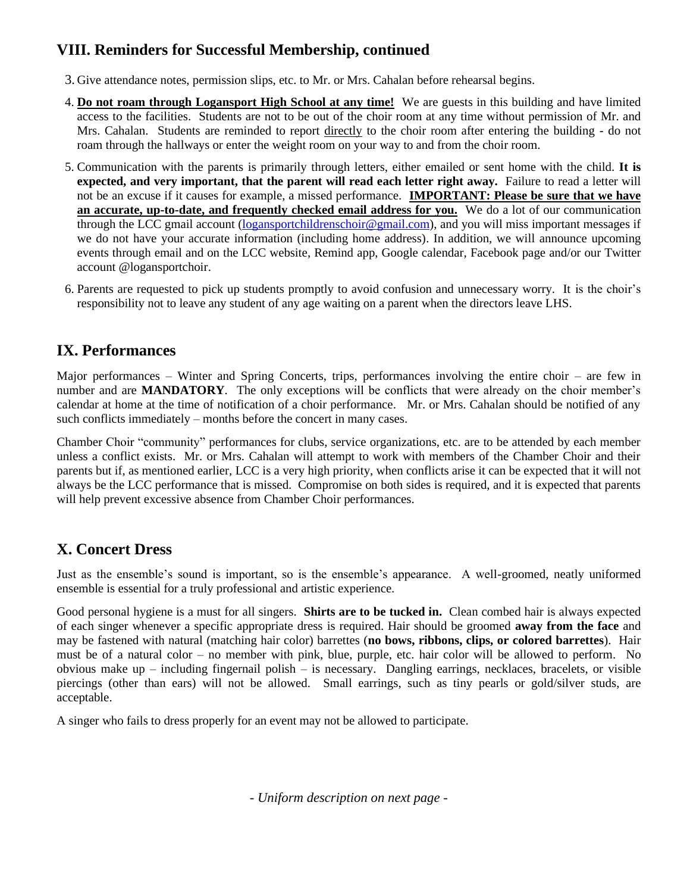#### **VIII. Reminders for Successful Membership, continued**

- 3. Give attendance notes, permission slips, etc. to Mr. or Mrs. Cahalan before rehearsal begins.
- 4. **Do not roam through Logansport High School at any time!** We are guests in this building and have limited access to the facilities. Students are not to be out of the choir room at any time without permission of Mr. and Mrs. Cahalan. Students are reminded to report directly to the choir room after entering the building - do not roam through the hallways or enter the weight room on your way to and from the choir room.
- 5. Communication with the parents is primarily through letters, either emailed or sent home with the child. **It is expected, and very important, that the parent will read each letter right away.** Failure to read a letter will not be an excuse if it causes for example, a missed performance. **IMPORTANT: Please be sure that we have an accurate, up-to-date, and frequently checked email address for you.** We do a lot of our communication through the LCC gmail account [\(logansportchildrenschoir@gmail.com\)](mailto:logansportchildrenschoir@gmail.com), and you will miss important messages if we do not have your accurate information (including home address). In addition, we will announce upcoming events through email and on the LCC website, Remind app, Google calendar, Facebook page and/or our Twitter account @logansportchoir.
- 6. Parents are requested to pick up students promptly to avoid confusion and unnecessary worry. It is the choir's responsibility not to leave any student of any age waiting on a parent when the directors leave LHS.

#### **IX. Performances**

Major performances – Winter and Spring Concerts, trips, performances involving the entire choir – are few in number and are **MANDATORY**. The only exceptions will be conflicts that were already on the choir member's calendar at home at the time of notification of a choir performance. Mr. or Mrs. Cahalan should be notified of any such conflicts immediately – months before the concert in many cases.

Chamber Choir "community" performances for clubs, service organizations, etc. are to be attended by each member unless a conflict exists. Mr. or Mrs. Cahalan will attempt to work with members of the Chamber Choir and their parents but if, as mentioned earlier, LCC is a very high priority, when conflicts arise it can be expected that it will not always be the LCC performance that is missed. Compromise on both sides is required, and it is expected that parents will help prevent excessive absence from Chamber Choir performances.

# **X. Concert Dress**

Just as the ensemble's sound is important, so is the ensemble's appearance. A well-groomed, neatly uniformed ensemble is essential for a truly professional and artistic experience.

Good personal hygiene is a must for all singers. **Shirts are to be tucked in.** Clean combed hair is always expected of each singer whenever a specific appropriate dress is required. Hair should be groomed **away from the face** and may be fastened with natural (matching hair color) barrettes (**no bows, ribbons, clips, or colored barrettes**). Hair must be of a natural color – no member with pink, blue, purple, etc. hair color will be allowed to perform. No obvious make up – including fingernail polish – is necessary. Dangling earrings, necklaces, bracelets, or visible piercings (other than ears) will not be allowed. Small earrings, such as tiny pearls or gold/silver studs, are acceptable.

A singer who fails to dress properly for an event may not be allowed to participate.

*- Uniform description on next page -*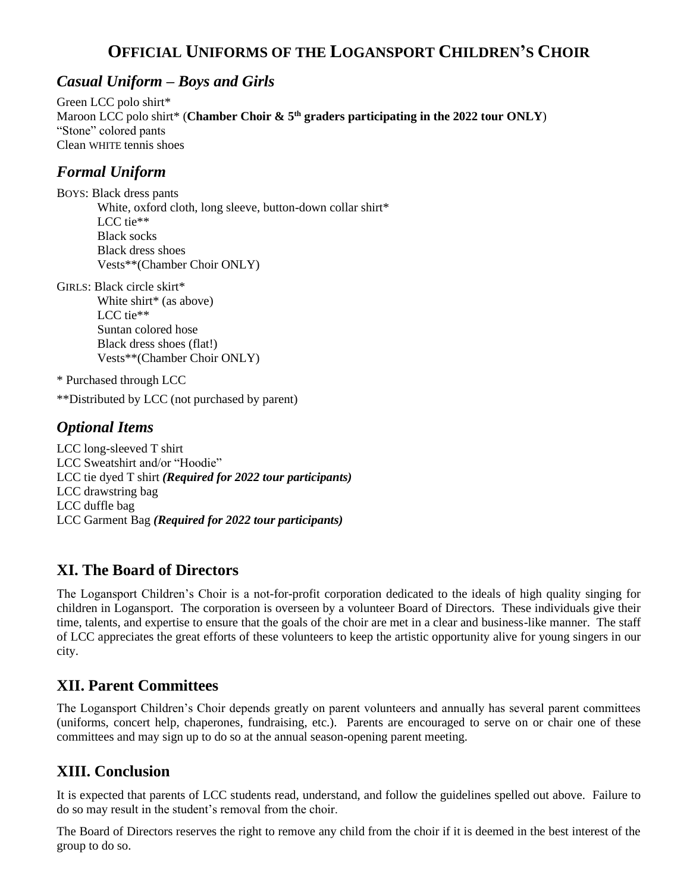# **OFFICIAL UNIFORMS OF THE LOGANSPORT CHILDREN'S CHOIR**

#### *Casual Uniform – Boys and Girls*

Green LCC polo shirt\* Maroon LCC polo shirt\* (**Chamber Choir & 5th graders participating in the 2022 tour ONLY**) "Stone" colored pants Clean WHITE tennis shoes

#### *Formal Uniform*

BOYS: Black dress pants White, oxford cloth, long sleeve, button-down collar shirt\* LCC tie\*\* Black socks Black dress shoes Vests\*\*(Chamber Choir ONLY)

GIRLS: Black circle skirt\* White shirt\* (as above) LCC tie\*\* Suntan colored hose Black dress shoes (flat!) Vests\*\*(Chamber Choir ONLY)

\* Purchased through LCC

\*\*Distributed by LCC (not purchased by parent)

#### *Optional Items*

LCC long-sleeved T shirt LCC Sweatshirt and/or "Hoodie" LCC tie dyed T shirt *(Required for 2022 tour participants)* LCC drawstring bag LCC duffle bag LCC Garment Bag *(Required for 2022 tour participants)*

#### **XI. The Board of Directors**

The Logansport Children's Choir is a not-for-profit corporation dedicated to the ideals of high quality singing for children in Logansport. The corporation is overseen by a volunteer Board of Directors. These individuals give their time, talents, and expertise to ensure that the goals of the choir are met in a clear and business-like manner. The staff of LCC appreciates the great efforts of these volunteers to keep the artistic opportunity alive for young singers in our city.

#### **XII. Parent Committees**

The Logansport Children's Choir depends greatly on parent volunteers and annually has several parent committees (uniforms, concert help, chaperones, fundraising, etc.). Parents are encouraged to serve on or chair one of these committees and may sign up to do so at the annual season-opening parent meeting.

# **XIII. Conclusion**

It is expected that parents of LCC students read, understand, and follow the guidelines spelled out above. Failure to do so may result in the student's removal from the choir.

The Board of Directors reserves the right to remove any child from the choir if it is deemed in the best interest of the group to do so.